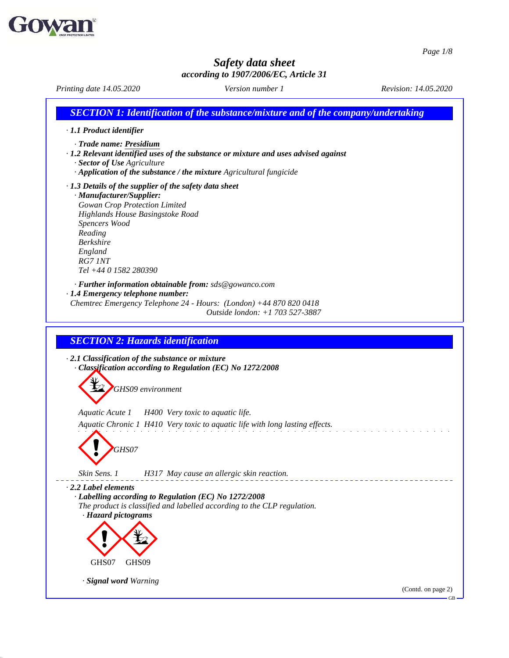

51.0.11

## *Safety data sheet according to 1907/2006/EC, Article 31*

*Printing date 14.05.2020 Version number 1 Revision: 14.05.2020 SECTION 1: Identification of the substance/mixture and of the company/undertaking · 1.1 Product identifier · Trade name: Presidium · 1.2 Relevant identified uses of the substance or mixture and uses advised against · Sector of Use Agriculture · Application of the substance / the mixture Agricultural fungicide · 1.3 Details of the supplier of the safety data sheet · Manufacturer/Supplier: Gowan Crop Protection Limited Highlands House Basingstoke Road Spencers Wood Reading Berkshire England RG7 1NT Tel +44 0 1582 280390 · Further information obtainable from: sds@gowanco.com · 1.4 Emergency telephone number: Chemtrec Emergency Telephone 24 - Hours: (London) +44 870 820 0418 Outside london: +1 703 527-3887 SECTION 2: Hazards identification · 2.1 Classification of the substance or mixture · Classification according to Regulation (EC) No 1272/2008 GHS09 environment Aquatic Acute 1 H400 Very toxic to aquatic life. Aquatic Chronic 1 H410 Very toxic to aquatic life with long lasting ef ects.* **GHS07** *Skin Sens. 1 H317 May cause an allergic skin reaction. · 2.2 Label elements · Labelling according to Regulation (EC) No 1272/2008 The product is classified and labelled according to the CLP regulation. · Hazard pictograms*  $\left\langle \frac{1}{2} \right\rangle$ GHS07  $\left\langle \frac{\psi_2}{\psi_1} \right\rangle$ GHS09 *· Signal word Warning* (Contd. on page 2)GB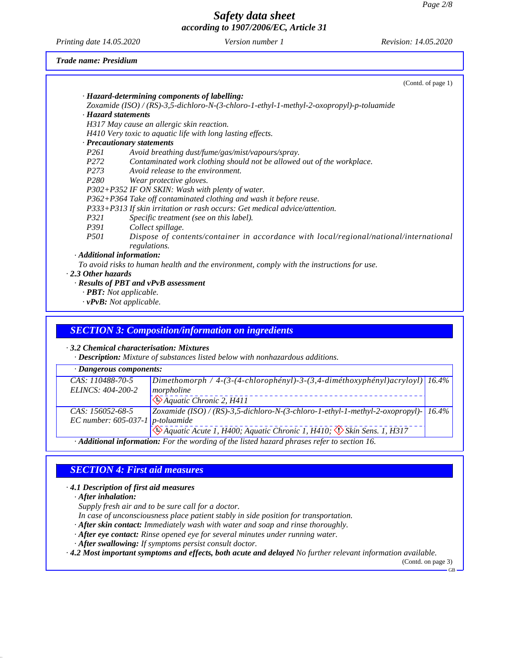*Printing date 14.05.2020 Version number 1 Revision: 14.05.2020*

## *Trade name: Presidium*

|                           |                                                                                                                                        | (Contd. of page 1) |
|---------------------------|----------------------------------------------------------------------------------------------------------------------------------------|--------------------|
|                           | · Hazard-determining components of labelling:                                                                                          |                    |
|                           | Zoxamide (ISO) / (RS)-3,5-dichloro-N-(3-chloro-1-ethyl-1-methyl-2-oxopropyl)-p-toluamide                                               |                    |
|                           | · Hazard statements                                                                                                                    |                    |
|                           | H317 May cause an allergic skin reaction.                                                                                              |                    |
|                           | H410 Very toxic to aquatic life with long lasting effects.                                                                             |                    |
|                           | · Precautionary statements                                                                                                             |                    |
| P <sub>261</sub>          | Avoid breathing dust/fume/gas/mist/vapours/spray.                                                                                      |                    |
| P <sub>272</sub>          | Contaminated work clothing should not be allowed out of the workplace.                                                                 |                    |
| P273                      | Avoid release to the environment.                                                                                                      |                    |
| P280                      | Wear protective gloves.                                                                                                                |                    |
|                           | P302+P352 IF ON SKIN: Wash with plenty of water.                                                                                       |                    |
|                           | P362+P364 Take off contaminated clothing and wash it before reuse.                                                                     |                    |
|                           | P333+P313 If skin irritation or rash occurs: Get medical advice/attention.                                                             |                    |
| P321                      | Specific treatment (see on this label).                                                                                                |                    |
| P391                      | Collect spillage.                                                                                                                      |                    |
| <i>P501</i>               | Dispose of contents/container in accordance with local/regional/national/international<br>regulations.                                 |                    |
|                           | · Additional information:                                                                                                              |                    |
|                           | To avoid risks to human health and the environment, comply with the instructions for use.                                              |                    |
| $\cdot$ 2.3 Other hazards |                                                                                                                                        |                    |
|                           | · Results of PBT and vPvB assessment                                                                                                   |                    |
|                           | $\cdot$ <b>PBT:</b> Not applicable.                                                                                                    |                    |
|                           | $\cdot$ vPvB: Not applicable.                                                                                                          |                    |
|                           |                                                                                                                                        |                    |
|                           | <b>SECTION 3: Composition/information on ingredients</b>                                                                               |                    |
|                           |                                                                                                                                        |                    |
|                           | $\cdot$ 3.2 Chemical characterisation: Mixtures<br><b>Description:</b> Mixture of substances listed below with nonhazardous additions. |                    |
|                           |                                                                                                                                        |                    |

| $\cdot$ Dangerous components:                                                               |                                                                                                          |  |
|---------------------------------------------------------------------------------------------|----------------------------------------------------------------------------------------------------------|--|
| CAS: 110488-70-5                                                                            | $\left $ Dimethomorph / 4-(3-(4-chlorophényl)-3-(3,4-diméthoxyphényl) $\left $ acryloyl) $\right $ 16.4% |  |
| ELINCS: 404-200-2                                                                           | morpholine                                                                                               |  |
|                                                                                             | $\sqrt{\triangle}$ Aquatic Chronic 2, H411                                                               |  |
| CAS: 156052-68-5                                                                            | Zoxamide (ISO) / (RS)-3,5-dichloro-N-(3-chloro-1-ethyl-1-methyl-2-oxopropyl)- $16.4\%$                   |  |
| EC number: $605-037-1$ p-toluamide                                                          |                                                                                                          |  |
|                                                                                             | $\mathcal{L}$ Aquatic Acute 1, H400; Aquatic Chronic 1, H410; $\mathcal{L}$ Skin Sens. 1, H317           |  |
| · Additional information: For the wording of the listed hazard phrases refer to section 16. |                                                                                                          |  |

# *SECTION 4: First aid measures*

*· 4.1 Description of first aid measures*

*· After inhalation:*

51.0.11

*Supply fresh air and to be sure call for a doctor.*

*In case of unconsciousness place patient stably in side position for transportation.*

*· After skin contact: Immediately wash with water and soap and rinse thoroughly.*

*· After eye contact: Rinse opened eye for several minutes under running water.*

*· After swallowing: If symptoms persist consult doctor.*

*· 4.2 Most important symptoms and effects, both acute and delayed No further relevant information available.*

(Contd. on page 3)GB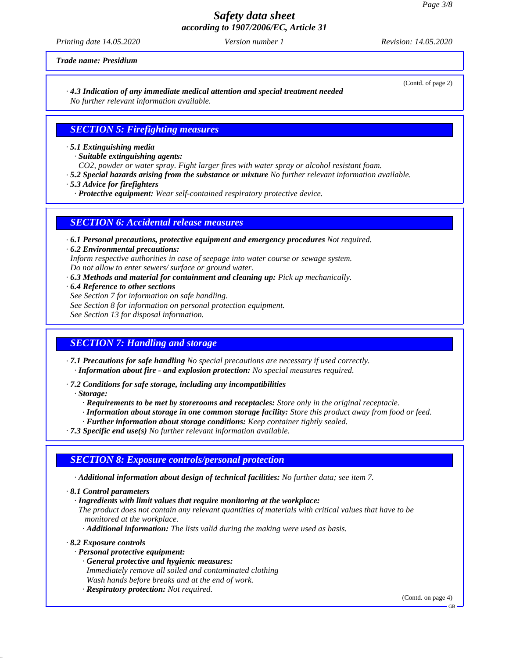*Printing date 14.05.2020 Version number 1 Revision: 14.05.2020*

*Trade name: Presidium*

#### *· 4.3 Indication of any immediate medical attention and special treatment needed No further relevant information available.*

## *SECTION 5: Firefighting measures*

*· 5.1 Extinguishing media*

*· Suitable extinguishing agents:*

*CO2, powder or water spray. Fight larger fires with water spray or alcohol resistant foam.*

- *· 5.2 Special hazards arising from the substance or mixture No further relevant information available.*
- *· 5.3 Advice for firefighters*

*· Protective equipment: Wear self-contained respiratory protective device.*

## *SECTION 6: Accidental release measures*

- *· 6.1 Personal precautions, protective equipment and emergency procedures Not required.*
- *· 6.2 Environmental precautions: Inform respective authorities in case of seepage into water course or sewage system. Do notallow to enter sewers/ surface or ground water.*
- *· 6.3 Methods and material for containment and cleaning up: Pick up mechanically.*
- *· 6.4 Reference to other sections*
- *See Section 7 for information on safe handling.*
- *See Section 8 for information on personal protection equipment.*

*See Section 13 for disposal information.*

## *SECTION 7: Handling and storage*

*· 7.1 Precautions for safe handling No special precautions are necessary if used correctly. · Information about fire - and explosion protection: No special measures required.*

*· 7.2 Conditions for safe storage, including any incompatibilities*

*· Storage:*

- *· Requirements to be met by storerooms and receptacles: Store only in the original receptacle.*
- *· Information about storage in one common storage facility: Store this product away from food or feed.*
- *· Further information about storage conditions: Keep container tightly sealed.*

*· 7.3 Specific end use(s) No further relevant information available.*

## *SECTION 8: Exposure controls/personal protection*

*· Additional information about design of technical facilities: No further data; see item 7.*

*· 8.1 Control parameters*

*· Ingredients with limit values that require monitoring at the workplace:*

*The product does not contain any relevant quantities of materials with critical values that have to be monitored at the workplace.*

*· Additional information: The lists valid during the making were used as basis.*

*· 8.2 Exposure controls*

51.0.11

*· Personal protective equipment:*

- *· General protective and hygienic measures:*
	- *Immediately remove all soiled and contaminated clothing*
- *Wash hands before breaks and at the end of work. · Respiratory protection: Not required.*

(Contd. on page 4)

(Contd. of page 2)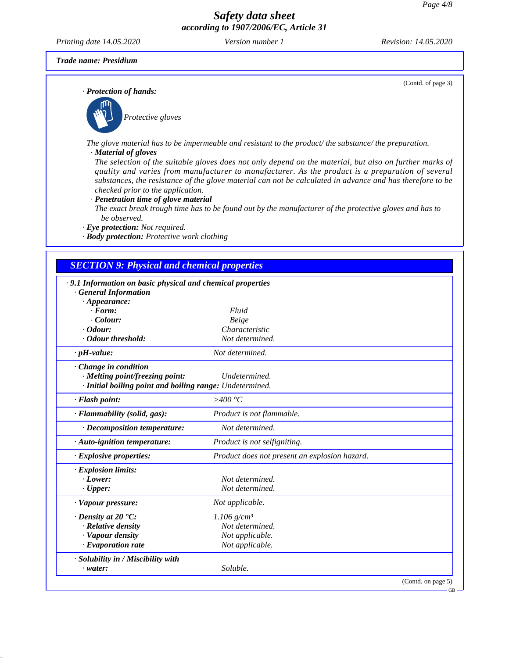*Printing date 14.05.2020 Version number 1 Revision: 14.05.2020*

(Contd. of page 3)

*Trade name: Presidium*

51.0.11

*· Protection of hands:*



*The glove material has to be impermeable and resistant to the product/ the substance/ the preparation.*

*· Material of gloves*

The selection of the suitable gloves does not only depend on the material, but also on further marks of *quality and varies from manufacturer to manufacturer. As the product is a preparation of several* substances, the resistance of the glove material can not be calculated in advance and has therefore to be *checked prior to the application.*

*· Penetration time of glove material*

The exact break trough time has to be found out by the manufacturer of the protective gloves and has to *be observed.*

*· Eye protection: Not required.*

*· Body protection: Protective work clothing*

## *SECTION 9: Physical and chemical properties*

| .9.1 Information on basic physical and chemical properties |                                               |                    |
|------------------------------------------------------------|-----------------------------------------------|--------------------|
| · General Information                                      |                                               |                    |
| $\cdot$ Appearance:<br>$\cdot$ Form:                       | Fluid                                         |                    |
| $\cdot$ Colour:                                            | Beige                                         |                    |
| $\cdot$ Odour:                                             | Characteristic                                |                    |
| Odour threshold:                                           | Not determined.                               |                    |
| $\cdot$ pH-value:                                          | Not determined.                               |                    |
| · Change in condition                                      |                                               |                    |
| · Melting point/freezing point:                            | Undetermined.                                 |                    |
| · Initial boiling point and boiling range: Undetermined.   |                                               |                    |
| · Flash point:                                             | >400 °C                                       |                    |
| · Flammability (solid, gas):                               | Product is not flammable.                     |                    |
| $\cdot$ Decomposition temperature:                         | Not determined.                               |                    |
| $\cdot$ Auto-ignition temperature:                         | Product is not selfigniting.                  |                    |
| $\cdot$ Explosive properties:                              | Product does not present an explosion hazard. |                    |
| · Explosion limits:                                        |                                               |                    |
| $\cdot$ Lower:                                             | Not determined.                               |                    |
| $\cdot$ Upper:                                             | Not determined.                               |                    |
| · Vapour pressure:                                         | Not applicable.                               |                    |
| $\cdot$ Density at 20 $\cdot$ C:                           | $1.106$ g/cm <sup>3</sup>                     |                    |
| · Relative density                                         | Not determined.                               |                    |
| · Vapour density                                           | Not applicable.                               |                    |
| · Evaporation rate                                         | Not applicable.                               |                    |
| · Solubility in / Miscibility with                         |                                               |                    |
| $\cdot$ water:                                             | Soluble.                                      |                    |
|                                                            |                                               | (Contd. on page 5) |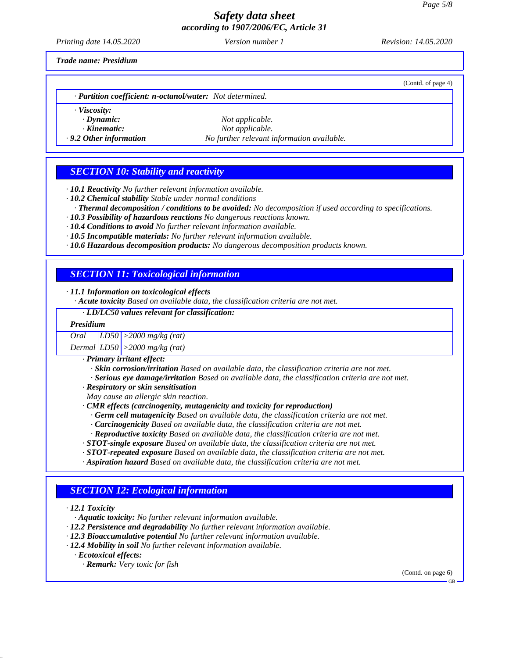*Printing date 14.05.2020 Version number 1 Revision: 14.05.2020*

(Contd. of page 4)

*Trade name: Presidium*

| · Partition coefficient: n-octanol/water: Not determined. |  |
|-----------------------------------------------------------|--|
|-----------------------------------------------------------|--|

*· Viscosity:*

 $Not$ *applicable. · Kinematic: Not applicable. · 9.2 Other information No further relevant information available.*

## *SECTION 10: Stability and reactivity*

*· 10.1 Reactivity No further relevant information available.*

- *· 10.2 Chemical stability Stable under normal conditions*
- *· Thermal decomposition / conditions to be avoided: No decomposition if used according to specifications. · 10.3 Possibility of hazardous reactions No dangerous reactions known.*
- *· 10.4 Conditions to avoid No further relevant information available.*
- *· 10.5 Incompatible materials: No further relevant information available.*
- *· 10.6 Hazardous decomposition products: No dangerous decomposition products known.*

# *SECTION 11: Toxicological information*

*· 11.1 Information on toxicological effects*

*· Acute toxicity Based on available data, the classification criteria are not met.*

### *· LD/LC50 values relevant for classification:*

| <b>Presidium</b> |                                                                                                   |
|------------------|---------------------------------------------------------------------------------------------------|
| Oral             | $ LDS0  > 2000$ mg/kg (rat)                                                                       |
|                  | Dermal $LD50$ > 2000 mg/kg (rat)                                                                  |
|                  | $\cdot$ Primary irritant effect:                                                                  |
|                  | . Skin corrosion/irritation Based on available data, the classification criteria are not met.     |
|                  | · Serious eye damage/irritation Based on available data, the classification criteria are not met. |

- 
- *· Respiratory or skin sensitisation*
- *May cause an allergic skin reaction.*
- *· CMR effects (carcinogenity, mutagenicity and toxicity for reproduction)*
	- *· Germ cell mutagenicity Based on available data, the classification criteria are not met.*
	- *· Carcinogenicity Based on available data, the classification criteria are not met.*
	- *· Reproductive toxicity Based on available data, the classification criteria are not met.*
- *· STOT-single exposure Based on available data, the classification criteria are not met.*
- *· STOT-repeated exposure Based on available data, the classification criteria are not met.*
- *· Aspiration hazard Based on available data, the classification criteria are not met.*

## *SECTION 12: Ecological information*

*· 12.1 Toxicity*

51.0.11

*· Aquatic toxicity: No further relevant information available.*

- *· 12.2 Persistence and degradability No further relevant information available.*
- *· 12.3 Bioaccumulative potential No further relevant information available.*
- *· 12.4 Mobility in soil No further relevant information available.*
	- *· Ecotoxical effects:*
		- *· Remark: Very toxic for fish*

(Contd. on page 6)

GB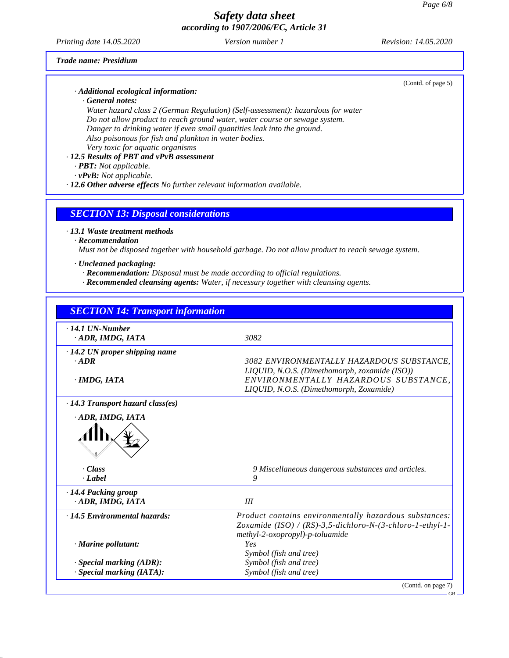#### *Printing date 14.05.2020 Version number 1 Revision: 14.05.2020*

### *Trade name: Presidium*

*· Additional ecological information:*

*· General notes:*

*Water hazard class 2 (German Regulation) (Self-assessment): hazardous for water Do not allow product to reach ground water, water course or sewage system. Danger to drinking water ifeven small quantities leak into the ground. Also poisonous for fish and plankton in water bodies. Very toxic for aquatic organisms*

### *· 12.5 Results of PBT and vPvB assessment*

*· PBT: Not applicable.*

*· vPvB: Not applicable.*

*· 12.6 Other adverse effects No further relevant information available.*

## *SECTION 13: Disposal considerations*

*· 13.1 Waste treatment methods*

#### *· Recommendation*

51.0.11

*Must not be disposed together with household garbage. Do notallow product to reach sewage system.*

#### *· Uncleaned packaging:*

*· Recommendation: Disposal must be made according to of icial regulations.*

*· Recommended cleansing agents: Water, if necessary together with cleansing agents.*

|                                           | <b>SECTION 14: Transport information</b>                                                                                         |
|-------------------------------------------|----------------------------------------------------------------------------------------------------------------------------------|
| $\cdot$ 14.1 UN-Number<br>ADR, IMDG, IATA | 3082                                                                                                                             |
| · 14.2 UN proper shipping name            |                                                                                                                                  |
| $-ADR$                                    | 3082 ENVIRONMENTALLY HAZARDOUS SUBSTANCE.                                                                                        |
| $\cdot$ IMDG, IATA                        | LIQUID, N.O.S. (Dimethomorph, zoxamide (ISO))<br>ENVIRONMENTALLY HAZARDOUS SUBSTANCE.<br>LIQUID, N.O.S. (Dimethomorph, Zoxamide) |
| $\cdot$ 14.3 Transport hazard class(es)   |                                                                                                                                  |
| ADR, IMDG, IATA                           |                                                                                                                                  |
|                                           |                                                                                                                                  |
| · Class                                   | 9 Miscellaneous dangerous substances and articles.                                                                               |
| · Label                                   | 9                                                                                                                                |
|                                           |                                                                                                                                  |
| · 14.4 Packing group                      |                                                                                                                                  |
| · ADR, IMDG, IATA                         | III                                                                                                                              |
| · 14.5 Environmental hazards:             | Product contains environmentally hazardous substances:                                                                           |
|                                           | Zoxamide (ISO) / (RS)-3,5-dichloro-N-(3-chloro-1-ethyl-1-                                                                        |
|                                           | methyl-2-oxopropyl)-p-toluamide                                                                                                  |
| $\cdot$ Marine pollutant:                 | <b>Yes</b>                                                                                                                       |
| $\cdot$ Special marking (ADR):            | Symbol (fish and tree)<br>Symbol (fish and tree)                                                                                 |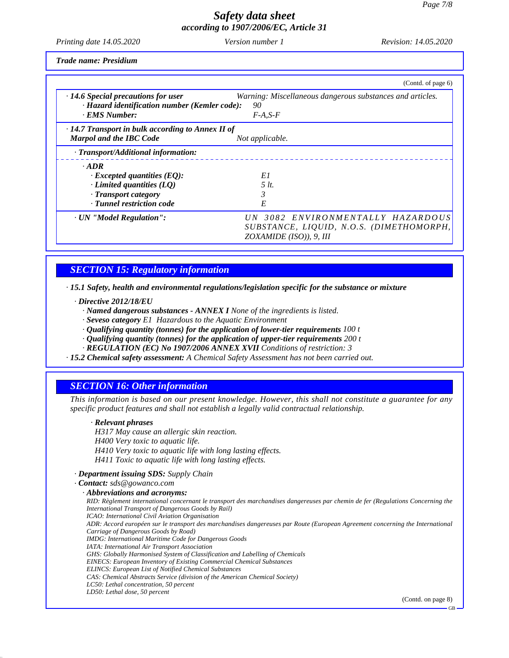GB

# *Safety data sheet according to 1907/2006/EC, Article 31*

*Printing date 14.05.2020 Version number 1 Revision: 14.05.2020*

*Trade name: Presidium*

|                                                         | (Contd. of page 6)                                        |
|---------------------------------------------------------|-----------------------------------------------------------|
| $\cdot$ 14.6 Special precautions for user               | Warning: Miscellaneous dangerous substances and articles. |
| · Hazard identification number (Kemler code):           | 90                                                        |
| · EMS Number:                                           | $F-A.S-F$                                                 |
| $\cdot$ 14.7 Transport in bulk according to Annex II of |                                                           |
| Marpol and the IBC Code                                 | Not applicable.                                           |
| · Transport/Additional information:                     |                                                           |
| $-$ ADR                                                 |                                                           |
| $\cdot$ Excepted quantities (EQ):                       | E1                                                        |
| $\cdot$ Limited quantities (LQ)                         | $5$ lt.                                                   |
| · Transport category                                    |                                                           |
| · Tunnel restriction code                               | E                                                         |
| · UN "Model Regulation":                                | UN 3082 ENVIRONMENTALLY HAZARDOUS                         |
|                                                         | SUBSTANCE, LIQUID, N.O.S. (DIMETHOMORPH,                  |
|                                                         | $ZOXAMIDE (ISO)$ ), 9, III                                |

# *SECTION 15: Regulatory information*

*· 15.1 Safety, health and environmental regulations/legislation specific for the substance or mixture*

*· Directive 2012/18/EU*

- *· Named dangerous substances - ANNEX I None of the ingredients is listed.*
- *· Seveso category E1 Hazardous to the Aquatic Environment*
- *· Qualifying quantity (tonnes) for the application of lower-tier requirements 100 t*
- *· Qualifying quantity (tonnes) for the application of upper-tier requirements 200 t*
- *· REGULATION (EC) No 1907/2006 ANNEX XVII Conditions of restriction: 3*
- *· 15.2 Chemical safety assessment: A Chemical Safety Assessment has not been carried out.*

# *SECTION 16: Other information*

This information is based on our present knowledge. However, this shall not constitute a guarantee for any *specific product features and shall not establish a legally valid contractual relationship.*

### *· Relevant phrases*

51.0.11

*H317 May cause an allergic skin reaction. H400 Very toxic to aquatic life. H410 Very toxic to aquatic life with long lasting ef ects. H411 Toxic to aquatic life with long lasting ef ects.*

### *· Department issuing SDS: Supply Chain*

*· Contact: sds@gowanco.com · Abbreviations and acronyms:* RID: Règlement international concernant le transport des marchandises dangereuses par chemin de fer (Regulations Concerning the *International Transport of Dangerous Goods by Rail) ICAO: International Civil Aviation Organisation* ADR: Accord européen sur le transport des marchandises dangereuses par Route (European Agreement concerning the International *Carriage of Dangerous Goods by Road) IMDG: International Maritime Code for Dangerous Goods IATA: International Air Transport Association GHS: Globally Harmonised System of Classification and Labelling of Chemicals EINECS: European Inventory of Existing Commercial Chemical Substances ELINCS: European List of Notified Chemical Substances CAS: Chemical Abstracts Service (division of the American Chemical Society) LC50: Lethal concentration, 50 percent LD50: Lethal dose, 50 percent* (Contd. on page 8)